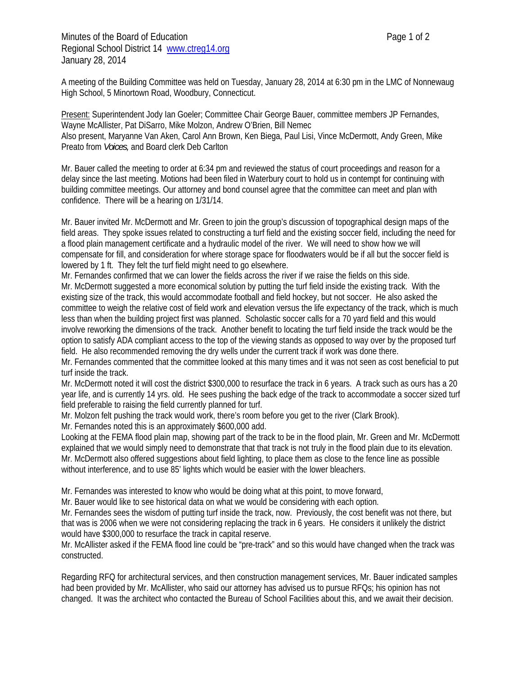Minutes of the Board of Education **Page 1** of 2 Regional School District 14 www.ctreg14.org January 28, 2014

A meeting of the Building Committee was held on Tuesday, January 28, 2014 at 6:30 pm in the LMC of Nonnewaug High School, 5 Minortown Road, Woodbury, Connecticut.

Present: Superintendent Jody Ian Goeler; Committee Chair George Bauer, committee members JP Fernandes, Wayne McAllister, Pat DiSarro, Mike Molzon, Andrew O'Brien, Bill Nemec Also present, Maryanne Van Aken, Carol Ann Brown, Ken Biega, Paul Lisi, Vince McDermott, Andy Green, Mike Preato from *Voices,* and Board clerk Deb Carlton

Mr. Bauer called the meeting to order at 6:34 pm and reviewed the status of court proceedings and reason for a delay since the last meeting. Motions had been filed in Waterbury court to hold us in contempt for continuing with building committee meetings. Our attorney and bond counsel agree that the committee can meet and plan with confidence. There will be a hearing on 1/31/14.

Mr. Bauer invited Mr. McDermott and Mr. Green to join the group's discussion of topographical design maps of the field areas. They spoke issues related to constructing a turf field and the existing soccer field, including the need for a flood plain management certificate and a hydraulic model of the river. We will need to show how we will compensate for fill, and consideration for where storage space for floodwaters would be if all but the soccer field is lowered by 1 ft. They felt the turf field might need to go elsewhere.

Mr. Fernandes confirmed that we can lower the fields across the river if we raise the fields on this side. Mr. McDermott suggested a more economical solution by putting the turf field inside the existing track. With the existing size of the track, this would accommodate football and field hockey, but not soccer. He also asked the committee to weigh the relative cost of field work and elevation versus the life expectancy of the track, which is much less than when the building project first was planned. Scholastic soccer calls for a 70 yard field and this would involve reworking the dimensions of the track. Another benefit to locating the turf field inside the track would be the option to satisfy ADA compliant access to the top of the viewing stands as opposed to way over by the proposed turf field. He also recommended removing the dry wells under the current track if work was done there.

Mr. Fernandes commented that the committee looked at this many times and it was not seen as cost beneficial to put turf inside the track.

Mr. McDermott noted it will cost the district \$300,000 to resurface the track in 6 years. A track such as ours has a 20 year life, and is currently 14 yrs. old. He sees pushing the back edge of the track to accommodate a soccer sized turf field preferable to raising the field currently planned for turf.

Mr. Molzon felt pushing the track would work, there's room before you get to the river (Clark Brook).

Mr. Fernandes noted this is an approximately \$600,000 add.

Looking at the FEMA flood plain map, showing part of the track to be in the flood plain, Mr. Green and Mr. McDermott explained that we would simply need to demonstrate that that track is not truly in the flood plain due to its elevation. Mr. McDermott also offered suggestions about field lighting, to place them as close to the fence line as possible without interference, and to use 85' lights which would be easier with the lower bleachers.

Mr. Fernandes was interested to know who would be doing what at this point, to move forward,

Mr. Bauer would like to see historical data on what we would be considering with each option.

Mr. Fernandes sees the wisdom of putting turf inside the track, now. Previously, the cost benefit was not there, but that was is 2006 when we were not considering replacing the track in 6 years. He considers it unlikely the district would have \$300,000 to resurface the track in capital reserve.

Mr. McAllister asked if the FEMA flood line could be "pre-track" and so this would have changed when the track was constructed.

Regarding RFQ for architectural services, and then construction management services, Mr. Bauer indicated samples had been provided by Mr. McAllister, who said our attorney has advised us to pursue RFQs; his opinion has not changed. It was the architect who contacted the Bureau of School Facilities about this, and we await their decision.